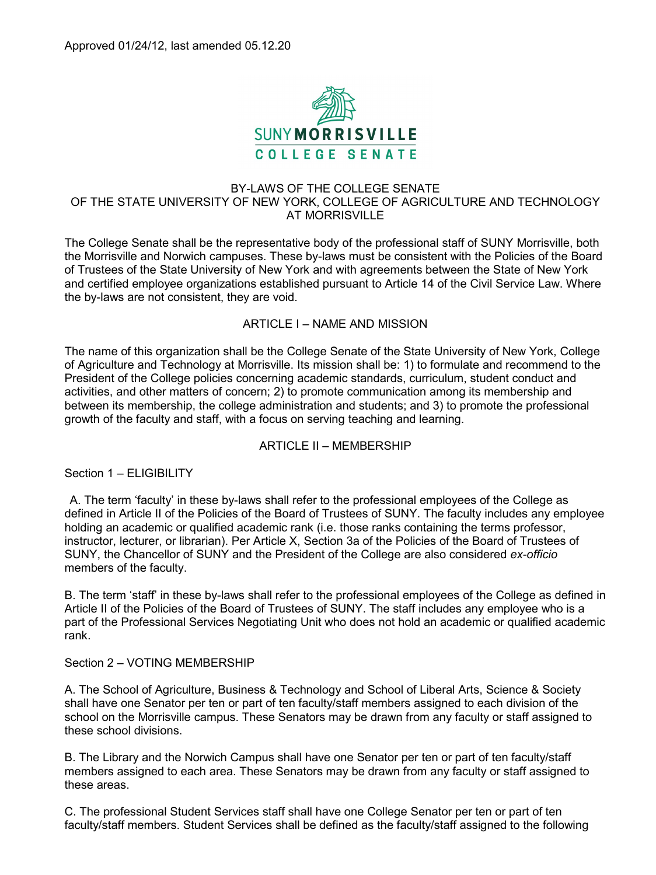

## BY-LAWS OF THE COLLEGE SENATE OF THE STATE UNIVERSITY OF NEW YORK, COLLEGE OF AGRICULTURE AND TECHNOLOGY AT MORRISVILLE

The College Senate shall be the representative body of the professional staff of SUNY Morrisville, both the Morrisville and Norwich campuses. These by-laws must be consistent with the Policies of the Board of Trustees of the State University of New York and with agreements between the State of New York and certified employee organizations established pursuant to Article 14 of the Civil Service Law. Where the by-laws are not consistent, they are void.

## ARTICLE I – NAME AND MISSION

The name of this organization shall be the College Senate of the State University of New York, College of Agriculture and Technology at Morrisville. Its mission shall be: 1) to formulate and recommend to the President of the College policies concerning academic standards, curriculum, student conduct and activities, and other matters of concern; 2) to promote communication among its membership and between its membership, the college administration and students; and 3) to promote the professional growth of the faculty and staff, with a focus on serving teaching and learning.

### ARTICLE II – MEMBERSHIP

Section 1 – ELIGIBILITY

A. The term 'faculty' in these by-laws shall refer to the professional employees of the College as defined in Article II of the Policies of the Board of Trustees of SUNY. The faculty includes any employee holding an academic or qualified academic rank (i.e. those ranks containing the terms professor, instructor, lecturer, or librarian). Per Article X, Section 3a of the Policies of the Board of Trustees of SUNY, the Chancellor of SUNY and the President of the College are also considered *ex-officio*  members of the faculty.

B. The term 'staff' in these by-laws shall refer to the professional employees of the College as defined in Article II of the Policies of the Board of Trustees of SUNY. The staff includes any employee who is a part of the Professional Services Negotiating Unit who does not hold an academic or qualified academic rank.

### Section 2 – VOTING MEMBERSHIP

A. The School of Agriculture, Business & Technology and School of Liberal Arts, Science & Society shall have one Senator per ten or part of ten faculty/staff members assigned to each division of the school on the Morrisville campus. These Senators may be drawn from any faculty or staff assigned to these school divisions.

B. The Library and the Norwich Campus shall have one Senator per ten or part of ten faculty/staff members assigned to each area. These Senators may be drawn from any faculty or staff assigned to these areas.

C. The professional Student Services staff shall have one College Senator per ten or part of ten faculty/staff members. Student Services shall be defined as the faculty/staff assigned to the following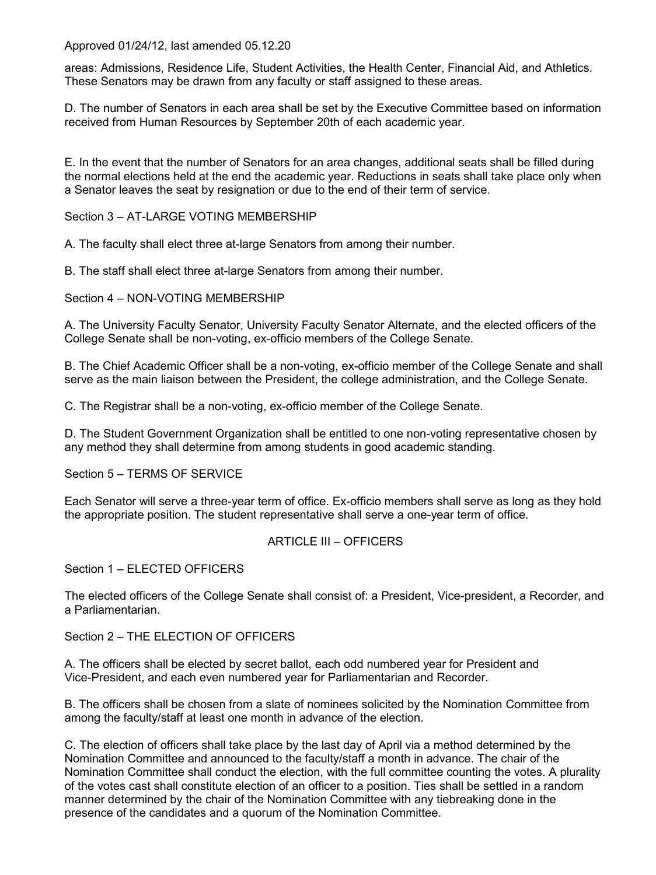areas: Admissions, Residence Life, Student Activities, the Health Center, Financial Aid, and Athletics. These Senators may be drawn from any faculty or staff assigned to these areas.

D. The number of Senators in each area shall be set by the Executive Committee based on information received from Human Resources by September 20th of each academic year.

E. In the event that the number of Senators for an area changes, additional seats shall be filled during the normal elections held at the end the academic year. Reductions in seats shall take place only when a Senator leaves the seat by resignation or due to the end of their term of service.

Section 3 - AT-LARGE VOTING MEMBERSHIP

A. The faculty shall elect three at-large Senators from among their number.

B. The staff shall elect three at-large Senators from among their number.

Section 4 – NON-VOTING MEMBERSHIP

A. The University Faculty Senator, University Faculty Senator Alternate, and the elected officers of the College Senate shall be non-voting, ex-officio members of the College Senate.

B. The Chief Academic Officer shall be a non-voting, ex-officio member of the College Senate and shall serve as the main liaison between the President, the college administration, and the College Senate.

C. The Registrar shall be a non-voting, ex-officio member of the College Senate.

D. The Student Government Organization shall be entitled to one non-voting representative chosen by any method they shall determine from among students in good academic standing.

Section 5 – TERMS OF SERVICE

Each Senator will serve a three-year term of office. Ex-officio members shall serve as long as they hold the appropriate position. The student representative shall serve a one-year term of office.

### ARTICLE III – OFFICERS

Section 1 – ELECTED OFFICERS

The elected officers of the College Senate shall consist of: a President, Vice-president, a Recorder, and a Parliamentarian.

Section 2 – THE FLECTION OF OFFICERS

A. The officers shall be elected by secret ballot, each odd numbered year for President and Vice-President, and each even numbered year for Parliamentarian and Recorder.

B. The officers shall be chosen from a slate of nominees solicited by the Nomination Committee from among the faculty/staff at least one month in advance of the election.

C. The election of officers shall take place by the last day of April via a method determined by the Nomination Committee and announced to the faculty/staff a month in advance. The chair of the Nomination Committee shall conduct the election, with the full committee counting the votes. A plurality of the votes cast shall constitute election of an officer to a position. Ties shall be settled in a random manner determined by the chair of the Nomination Committee with any tiebreaking done in the presence of the candidates and a quorum of the Nomination Committee.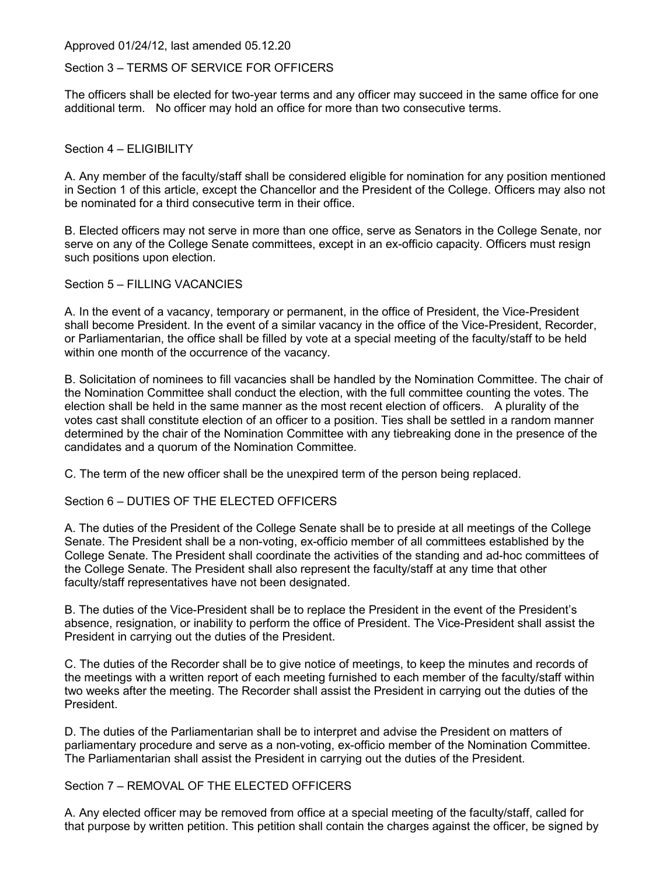#### Section 3 – TERMS OF SERVICE FOR OFFICERS

The officers shall be elected for two-year terms and any officer may succeed in the same office for one additional term. No officer may hold an office for more than two consecutive terms.

#### Section 4 – FLIGIBILITY

A. Any member of the faculty/staff shall be considered eligible for nomination for any position mentioned in Section 1 of this article, except the Chancellor and the President of the College. Officers may also not be nominated for a third consecutive term in their office.

B. Elected officers may not serve in more than one office, serve as Senators in the College Senate, nor serve on any of the College Senate committees, except in an ex-officio capacity. Officers must resign such positions upon election.

Section 5 – FILLING VACANCIES

A. In the event of a vacancy, temporary or permanent, in the office of President, the Vice-President shall become President. In the event of a similar vacancy in the office of the Vice-President, Recorder, or Parliamentarian, the office shall be filled by vote at a special meeting of the faculty/staff to be held within one month of the occurrence of the vacancy.

B. Solicitation of nominees to fill vacancies shall be handled by the Nomination Committee. The chair of the Nomination Committee shall conduct the election, with the full committee counting the votes. The election shall be held in the same manner as the most recent election of officers. A plurality of the votes cast shall constitute election of an officer to a position. Ties shall be settled in a random manner determined by the chair of the Nomination Committee with any tiebreaking done in the presence of the candidates and a quorum of the Nomination Committee.

C. The term of the new officer shall be the unexpired term of the person being replaced.

Section 6 – DUTIES OF THE ELECTED OFFICERS

A. The duties of the President of the College Senate shall be to preside at all meetings of the College Senate. The President shall be a non-voting, ex-officio member of all committees established by the College Senate. The President shall coordinate the activities of the standing and ad-hoc committees of the College Senate. The President shall also represent the faculty/staff at any time that other faculty/staff representatives have not been designated.

B. The duties of the Vice-President shall be to replace the President in the event of the President's absence, resignation, or inability to perform the office of President. The Vice-President shall assist the President in carrying out the duties of the President.

C. The duties of the Recorder shall be to give notice of meetings, to keep the minutes and records of the meetings with a written report of each meeting furnished to each member of the faculty/staff within two weeks after the meeting. The Recorder shall assist the President in carrying out the duties of the President.

D. The duties of the Parliamentarian shall be to interpret and advise the President on matters of parliamentary procedure and serve as a non-voting, ex-officio member of the Nomination Committee. The Parliamentarian shall assist the President in carrying out the duties of the President.

## Section 7 – REMOVAL OF THE ELECTED OFFICERS

A. Any elected officer may be removed from office at a special meeting of the faculty/staff, called for that purpose by written petition. This petition shall contain the charges against the officer, be signed by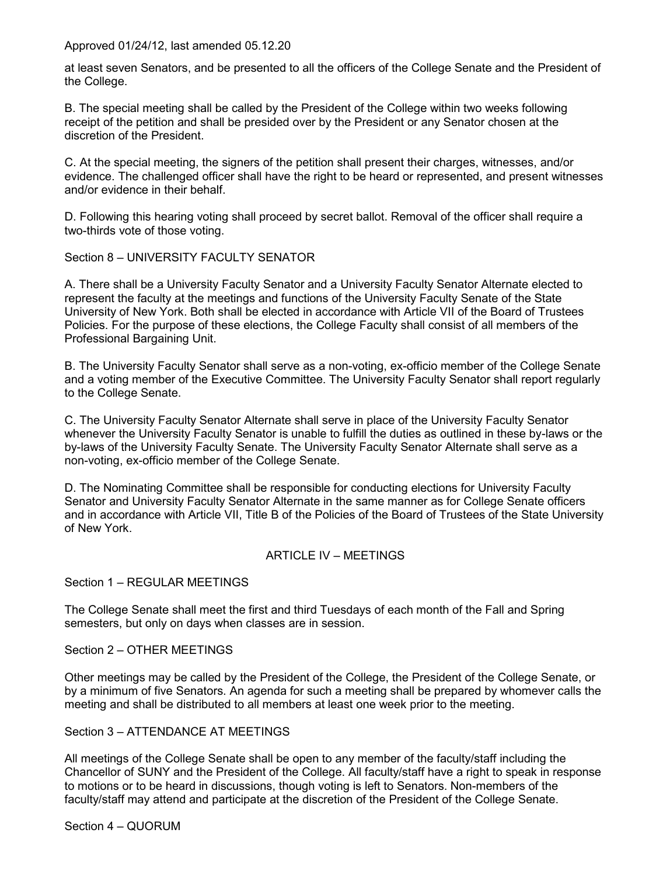at least seven Senators, and be presented to all the officers of the College Senate and the President of the College.

B. The special meeting shall be called by the President of the College within two weeks following receipt of the petition and shall be presided over by the President or any Senator chosen at the discretion of the President.

C. At the special meeting, the signers of the petition shall present their charges, witnesses, and/or evidence. The challenged officer shall have the right to be heard or represented, and present witnesses and/or evidence in their behalf.

D. Following this hearing voting shall proceed by secret ballot. Removal of the officer shall require a two-thirds vote of those voting.

Section 8 – UNIVERSITY FACULTY SENATOR

A. There shall be a University Faculty Senator and a University Faculty Senator Alternate elected to represent the faculty at the meetings and functions of the University Faculty Senate of the State University of New York. Both shall be elected in accordance with Article VII of the Board of Trustees Policies. For the purpose of these elections, the College Faculty shall consist of all members of the Professional Bargaining Unit.

B. The University Faculty Senator shall serve as a non-voting, ex-officio member of the College Senate and a voting member of the Executive Committee. The University Faculty Senator shall report regularly to the College Senate.

C. The University Faculty Senator Alternate shall serve in place of the University Faculty Senator whenever the University Faculty Senator is unable to fulfill the duties as outlined in these by-laws or the by-laws of the University Faculty Senate. The University Faculty Senator Alternate shall serve as a non-voting, ex-officio member of the College Senate.

D. The Nominating Committee shall be responsible for conducting elections for University Faculty Senator and University Faculty Senator Alternate in the same manner as for College Senate officers and in accordance with Article VII, Title B of the Policies of the Board of Trustees of the State University of New York.

### ARTICLE IV – MEETINGS

Section 1 – REGULAR MEETINGS

The College Senate shall meet the first and third Tuesdays of each month of the Fall and Spring semesters, but only on days when classes are in session.

Section 2 – OTHER MEETINGS

Other meetings may be called by the President of the College, the President of the College Senate, or by a minimum of five Senators. An agenda for such a meeting shall be prepared by whomever calls the meeting and shall be distributed to all members at least one week prior to the meeting.

Section 3 – ATTENDANCE AT MEETINGS

All meetings of the College Senate shall be open to any member of the faculty/staff including the Chancellor of SUNY and the President of the College. All faculty/staff have a right to speak in response to motions or to be heard in discussions, though voting is left to Senators. Non-members of the faculty/staff may attend and participate at the discretion of the President of the College Senate.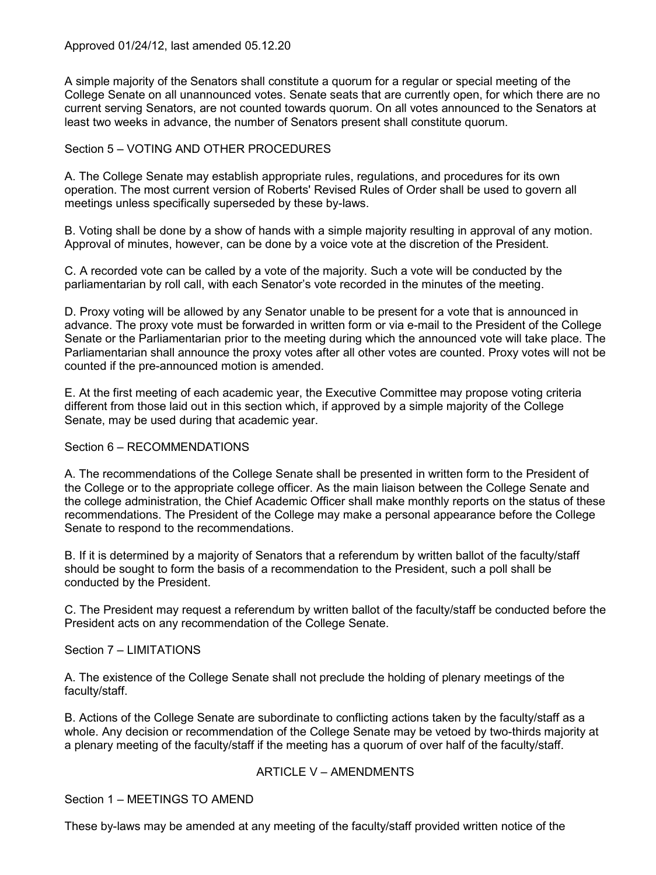A simple majority of the Senators shall constitute a quorum for a regular or special meeting of the College Senate on all unannounced votes. Senate seats that are currently open, for which there are no current serving Senators, are not counted towards quorum. On all votes announced to the Senators at least two weeks in advance, the number of Senators present shall constitute quorum.

# Section 5 – VOTING AND OTHER PROCEDURES

A. The College Senate may establish appropriate rules, regulations, and procedures for its own operation. The most current version of Roberts' Revised Rules of Order shall be used to govern all meetings unless specifically superseded by these by-laws.

B. Voting shall be done by a show of hands with a simple majority resulting in approval of any motion. Approval of minutes, however, can be done by a voice vote at the discretion of the President.

C. A recorded vote can be called by a vote of the majority. Such a vote will be conducted by the parliamentarian by roll call, with each Senator's vote recorded in the minutes of the meeting.

D. Proxy voting will be allowed by any Senator unable to be present for a vote that is announced in advance. The proxy vote must be forwarded in written form or via e-mail to the President of the College Senate or the Parliamentarian prior to the meeting during which the announced vote will take place. The Parliamentarian shall announce the proxy votes after all other votes are counted. Proxy votes will not be counted if the pre-announced motion is amended.

E. At the first meeting of each academic year, the Executive Committee may propose voting criteria different from those laid out in this section which, if approved by a simple majority of the College Senate, may be used during that academic year.

# Section 6 – RECOMMENDATIONS

A. The recommendations of the College Senate shall be presented in written form to the President of the College or to the appropriate college officer. As the main liaison between the College Senate and the college administration, the Chief Academic Officer shall make monthly reports on the status of these recommendations. The President of the College may make a personal appearance before the College Senate to respond to the recommendations.

B. If it is determined by a majority of Senators that a referendum by written ballot of the faculty/staff should be sought to form the basis of a recommendation to the President, such a poll shall be conducted by the President.

C. The President may request a referendum by written ballot of the faculty/staff be conducted before the President acts on any recommendation of the College Senate.

Section 7 – LIMITATIONS

A. The existence of the College Senate shall not preclude the holding of plenary meetings of the faculty/staff.

B. Actions of the College Senate are subordinate to conflicting actions taken by the faculty/staff as a whole. Any decision or recommendation of the College Senate may be vetoed by two-thirds majority at a plenary meeting of the faculty/staff if the meeting has a quorum of over half of the faculty/staff.

# ARTICLE V – AMENDMENTS

Section 1 – MEETINGS TO AMEND

These by-laws may be amended at any meeting of the faculty/staff provided written notice of the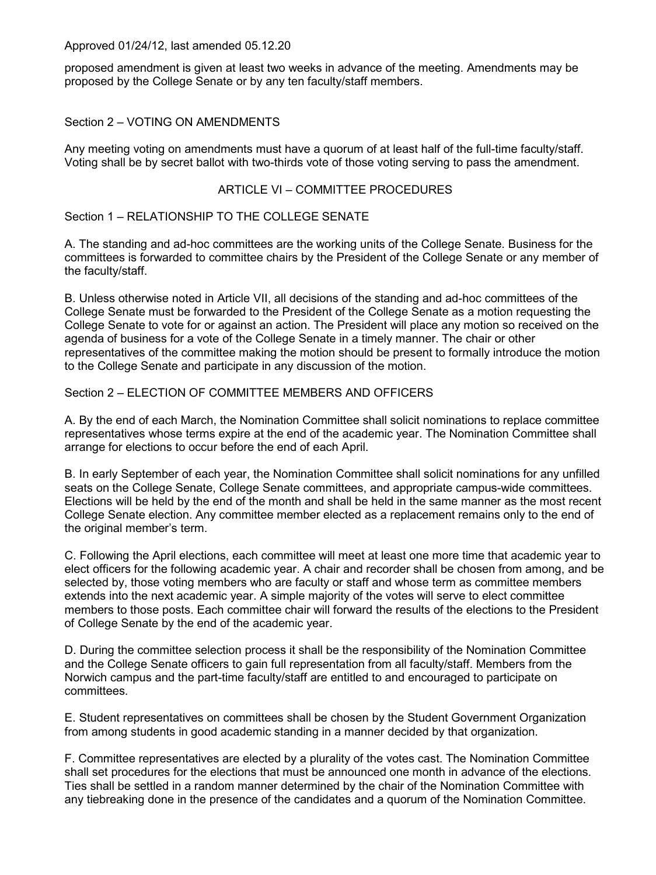proposed amendment is given at least two weeks in advance of the meeting. Amendments may be proposed by the College Senate or by any ten faculty/staff members.

## Section 2 – VOTING ON AMENDMENTS

Any meeting voting on amendments must have a quorum of at least half of the full-time faculty/staff. Voting shall be by secret ballot with two-thirds vote of those voting serving to pass the amendment.

### ARTICLE VI – COMMITTEE PROCEDURES

## Section 1 – RELATIONSHIP TO THE COLLEGE SENATE

A. The standing and ad-hoc committees are the working units of the College Senate. Business for the committees is forwarded to committee chairs by the President of the College Senate or any member of the faculty/staff.

B. Unless otherwise noted in Article VII, all decisions of the standing and ad-hoc committees of the College Senate must be forwarded to the President of the College Senate as a motion requesting the College Senate to vote for or against an action. The President will place any motion so received on the agenda of business for a vote of the College Senate in a timely manner. The chair or other representatives of the committee making the motion should be present to formally introduce the motion to the College Senate and participate in any discussion of the motion.

## Section 2 – ELECTION OF COMMITTEE MEMBERS AND OFFICERS

A. By the end of each March, the Nomination Committee shall solicit nominations to replace committee representatives whose terms expire at the end of the academic year. The Nomination Committee shall arrange for elections to occur before the end of each April.

B. In early September of each year, the Nomination Committee shall solicit nominations for any unfilled seats on the College Senate, College Senate committees, and appropriate campus-wide committees. Elections will be held by the end of the month and shall be held in the same manner as the most recent College Senate election. Any committee member elected as a replacement remains only to the end of the original member's term.

C. Following the April elections, each committee will meet at least one more time that academic year to elect officers for the following academic year. A chair and recorder shall be chosen from among, and be selected by, those voting members who are faculty or staff and whose term as committee members extends into the next academic year. A simple majority of the votes will serve to elect committee members to those posts. Each committee chair will forward the results of the elections to the President of College Senate by the end of the academic year.

D. During the committee selection process it shall be the responsibility of the Nomination Committee and the College Senate officers to gain full representation from all faculty/staff. Members from the Norwich campus and the part-time faculty/staff are entitled to and encouraged to participate on committees.

E. Student representatives on committees shall be chosen by the Student Government Organization from among students in good academic standing in a manner decided by that organization.

F. Committee representatives are elected by a plurality of the votes cast. The Nomination Committee shall set procedures for the elections that must be announced one month in advance of the elections. Ties shall be settled in a random manner determined by the chair of the Nomination Committee with any tiebreaking done in the presence of the candidates and a quorum of the Nomination Committee.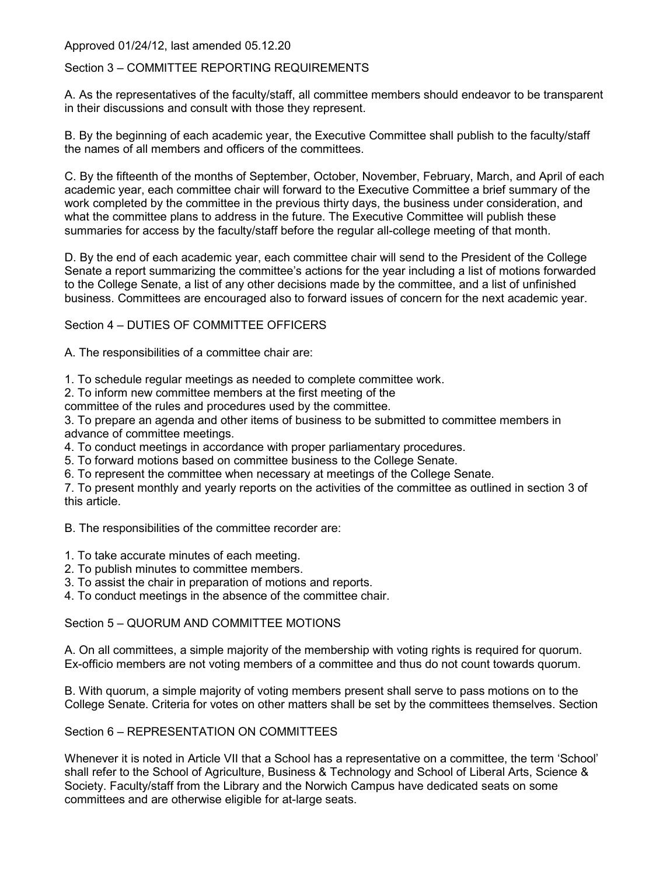## Section 3 – COMMITTEE REPORTING REQUIREMENTS

A. As the representatives of the faculty/staff, all committee members should endeavor to be transparent in their discussions and consult with those they represent.

B. By the beginning of each academic year, the Executive Committee shall publish to the faculty/staff the names of all members and officers of the committees.

C. By the fifteenth of the months of September, October, November, February, March, and April of each academic year, each committee chair will forward to the Executive Committee a brief summary of the work completed by the committee in the previous thirty days, the business under consideration, and what the committee plans to address in the future. The Executive Committee will publish these summaries for access by the faculty/staff before the regular all-college meeting of that month.

D. By the end of each academic year, each committee chair will send to the President of the College Senate a report summarizing the committee's actions for the year including a list of motions forwarded to the College Senate, a list of any other decisions made by the committee, and a list of unfinished business. Committees are encouraged also to forward issues of concern for the next academic year.

## Section 4 – DUTIES OF COMMITTEE OFFICERS

A. The responsibilities of a committee chair are:

1. To schedule regular meetings as needed to complete committee work.

2. To inform new committee members at the first meeting of the

committee of the rules and procedures used by the committee.

3. To prepare an agenda and other items of business to be submitted to committee members in advance of committee meetings.

4. To conduct meetings in accordance with proper parliamentary procedures.

5. To forward motions based on committee business to the College Senate.

6. To represent the committee when necessary at meetings of the College Senate.

7. To present monthly and yearly reports on the activities of the committee as outlined in section 3 of this article.

B. The responsibilities of the committee recorder are:

- 1. To take accurate minutes of each meeting.
- 2. To publish minutes to committee members.
- 3. To assist the chair in preparation of motions and reports.

4. To conduct meetings in the absence of the committee chair.

Section 5 – QUORUM AND COMMITTEE MOTIONS

A. On all committees, a simple majority of the membership with voting rights is required for quorum. Ex-officio members are not voting members of a committee and thus do not count towards quorum.

B. With quorum, a simple majority of voting members present shall serve to pass motions on to the College Senate. Criteria for votes on other matters shall be set by the committees themselves. Section

# Section 6 – REPRESENTATION ON COMMITTEES

Whenever it is noted in Article VII that a School has a representative on a committee, the term 'School' shall refer to the School of Agriculture, Business & Technology and School of Liberal Arts, Science & Society. Faculty/staff from the Library and the Norwich Campus have dedicated seats on some committees and are otherwise eligible for at-large seats.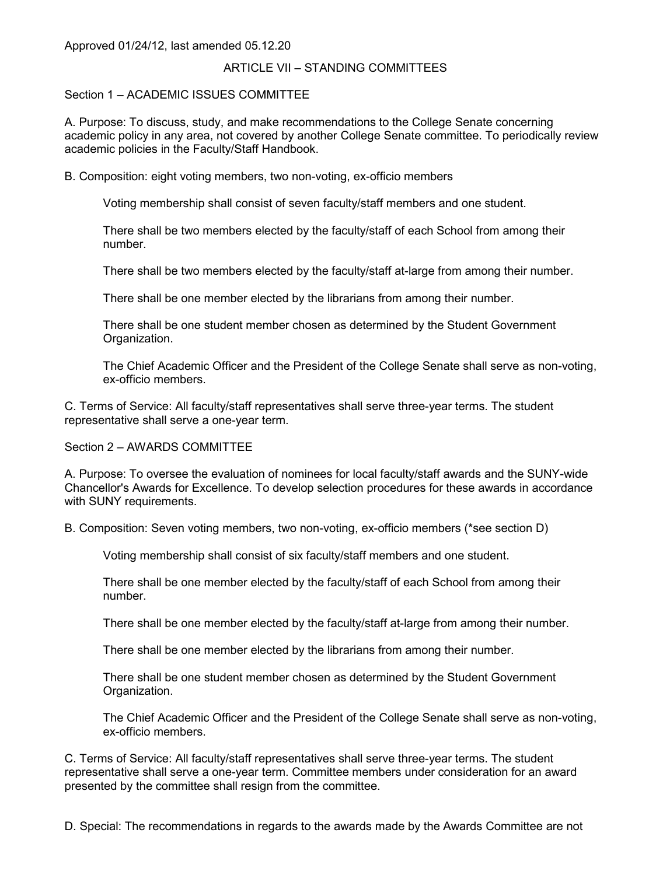## ARTICLE VII – STANDING COMMITTEES

## Section 1 – ACADEMIC ISSUES COMMITTEE

A. Purpose: To discuss, study, and make recommendations to the College Senate concerning academic policy in any area, not covered by another College Senate committee. To periodically review academic policies in the Faculty/Staff Handbook.

B. Composition: eight voting members, two non-voting, ex-officio members

Voting membership shall consist of seven faculty/staff members and one student.

There shall be two members elected by the faculty/staff of each School from among their number.

There shall be two members elected by the faculty/staff at-large from among their number.

There shall be one member elected by the librarians from among their number.

There shall be one student member chosen as determined by the Student Government Organization.

The Chief Academic Officer and the President of the College Senate shall serve as non-voting, ex-officio members.

C. Terms of Service: All faculty/staff representatives shall serve three-year terms. The student representative shall serve a one-year term.

### Section 2 – AWARDS COMMITTEE

A. Purpose: To oversee the evaluation of nominees for local faculty/staff awards and the SUNY-wide Chancellor's Awards for Excellence. To develop selection procedures for these awards in accordance with SUNY requirements.

B. Composition: Seven voting members, two non-voting, ex-officio members (\*see section D)

Voting membership shall consist of six faculty/staff members and one student.

There shall be one member elected by the faculty/staff of each School from among their number.

There shall be one member elected by the faculty/staff at-large from among their number.

There shall be one member elected by the librarians from among their number.

There shall be one student member chosen as determined by the Student Government Organization.

The Chief Academic Officer and the President of the College Senate shall serve as non-voting, ex-officio members.

C. Terms of Service: All faculty/staff representatives shall serve three-year terms. The student representative shall serve a one-year term. Committee members under consideration for an award presented by the committee shall resign from the committee.

D. Special: The recommendations in regards to the awards made by the Awards Committee are not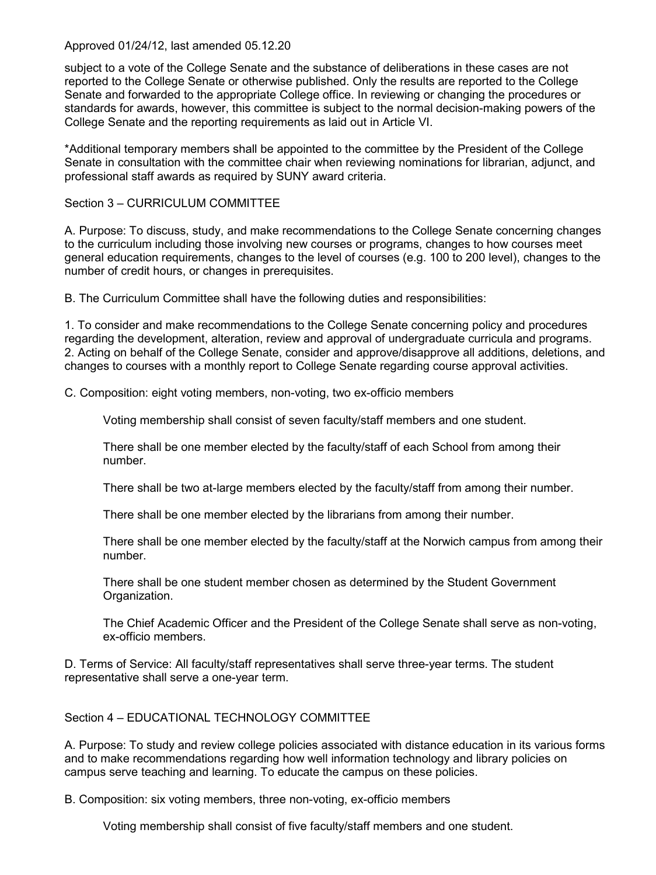subject to a vote of the College Senate and the substance of deliberations in these cases are not reported to the College Senate or otherwise published. Only the results are reported to the College Senate and forwarded to the appropriate College office. In reviewing or changing the procedures or standards for awards, however, this committee is subject to the normal decision-making powers of the College Senate and the reporting requirements as laid out in Article VI.

\*Additional temporary members shall be appointed to the committee by the President of the College Senate in consultation with the committee chair when reviewing nominations for librarian, adjunct, and professional staff awards as required by SUNY award criteria.

## Section 3 – CURRICULUM COMMITTEE

A. Purpose: To discuss, study, and make recommendations to the College Senate concerning changes to the curriculum including those involving new courses or programs, changes to how courses meet general education requirements, changes to the level of courses (e.g. 100 to 200 level), changes to the number of credit hours, or changes in prerequisites.

B. The Curriculum Committee shall have the following duties and responsibilities:

1. To consider and make recommendations to the College Senate concerning policy and procedures regarding the development, alteration, review and approval of undergraduate curricula and programs. 2. Acting on behalf of the College Senate, consider and approve/disapprove all additions, deletions, and changes to courses with a monthly report to College Senate regarding course approval activities.

C. Composition: eight voting members, non-voting, two ex-officio members

Voting membership shall consist of seven faculty/staff members and one student.

There shall be one member elected by the faculty/staff of each School from among their number.

There shall be two at-large members elected by the faculty/staff from among their number.

There shall be one member elected by the librarians from among their number.

There shall be one member elected by the faculty/staff at the Norwich campus from among their number.

There shall be one student member chosen as determined by the Student Government Organization.

The Chief Academic Officer and the President of the College Senate shall serve as non-voting, ex-officio members.

D. Terms of Service: All faculty/staff representatives shall serve three-year terms. The student representative shall serve a one-year term.

# Section 4 – EDUCATIONAL TECHNOLOGY COMMITTEE

A. Purpose: To study and review college policies associated with distance education in its various forms and to make recommendations regarding how well information technology and library policies on campus serve teaching and learning. To educate the campus on these policies.

B. Composition: six voting members, three non-voting, ex-officio members

Voting membership shall consist of five faculty/staff members and one student.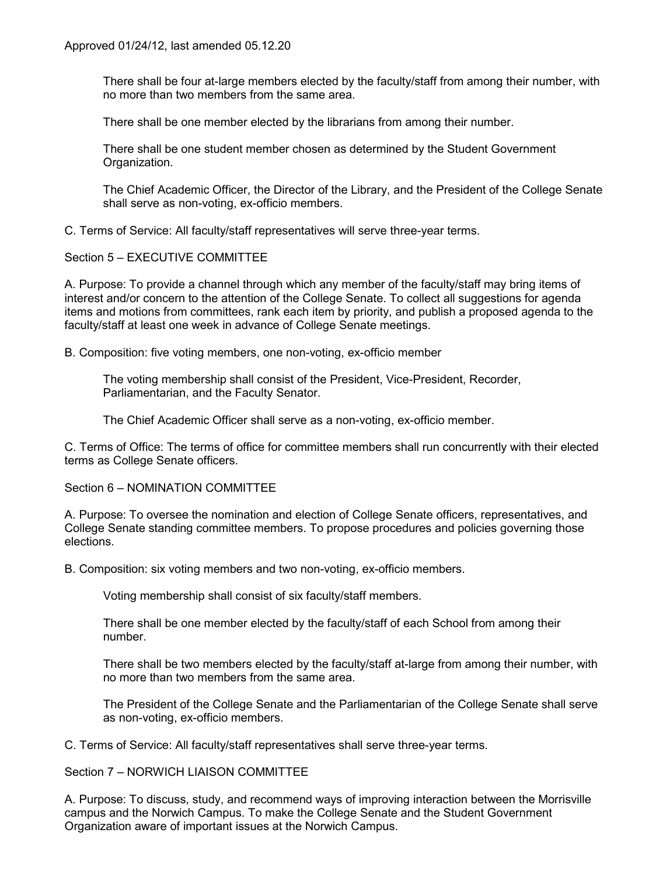There shall be four at-large members elected by the faculty/staff from among their number, with no more than two members from the same area.

There shall be one member elected by the librarians from among their number.

There shall be one student member chosen as determined by the Student Government Organization.

The Chief Academic Officer, the Director of the Library, and the President of the College Senate shall serve as non-voting, ex-officio members.

C. Terms of Service: All faculty/staff representatives will serve three-year terms.

Section 5 – EXECUTIVE COMMITTEE

A. Purpose: To provide a channel through which any member of the faculty/staff may bring items of interest and/or concern to the attention of the College Senate. To collect all suggestions for agenda items and motions from committees, rank each item by priority, and publish a proposed agenda to the faculty/staff at least one week in advance of College Senate meetings.

B. Composition: five voting members, one non-voting, ex-officio member

The voting membership shall consist of the President, Vice-President, Recorder, Parliamentarian, and the Faculty Senator.

The Chief Academic Officer shall serve as a non-voting, ex-officio member.

C. Terms of Office: The terms of office for committee members shall run concurrently with their elected terms as College Senate officers.

Section 6 – NOMINATION COMMITTEE

A. Purpose: To oversee the nomination and election of College Senate officers, representatives, and College Senate standing committee members. To propose procedures and policies governing those elections.

B. Composition: six voting members and two non-voting, ex-officio members.

Voting membership shall consist of six faculty/staff members.

There shall be one member elected by the faculty/staff of each School from among their number.

There shall be two members elected by the faculty/staff at-large from among their number, with no more than two members from the same area.

The President of the College Senate and the Parliamentarian of the College Senate shall serve as non-voting, ex-officio members.

C. Terms of Service: All faculty/staff representatives shall serve three-year terms.

## Section 7 – NORWICH LIAISON COMMITTEE

A. Purpose: To discuss, study, and recommend ways of improving interaction between the Morrisville campus and the Norwich Campus. To make the College Senate and the Student Government Organization aware of important issues at the Norwich Campus.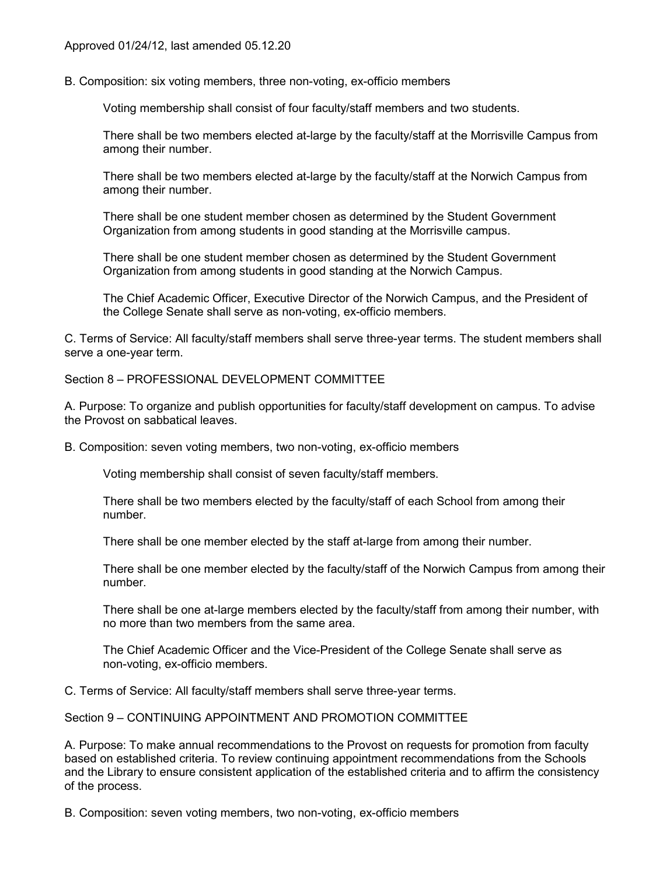B. Composition: six voting members, three non-voting, ex-officio members

Voting membership shall consist of four faculty/staff members and two students.

There shall be two members elected at-large by the faculty/staff at the Morrisville Campus from among their number.

There shall be two members elected at-large by the faculty/staff at the Norwich Campus from among their number.

There shall be one student member chosen as determined by the Student Government Organization from among students in good standing at the Morrisville campus.

There shall be one student member chosen as determined by the Student Government Organization from among students in good standing at the Norwich Campus.

The Chief Academic Officer, Executive Director of the Norwich Campus, and the President of the College Senate shall serve as non-voting, ex-officio members.

C. Terms of Service: All faculty/staff members shall serve three-year terms. The student members shall serve a one-year term.

## Section 8 – PROFESSIONAL DEVELOPMENT COMMITTEE

A. Purpose: To organize and publish opportunities for faculty/staff development on campus. To advise the Provost on sabbatical leaves.

B. Composition: seven voting members, two non-voting, ex-officio members

Voting membership shall consist of seven faculty/staff members.

There shall be two members elected by the faculty/staff of each School from among their number.

There shall be one member elected by the staff at-large from among their number.

There shall be one member elected by the faculty/staff of the Norwich Campus from among their number.

There shall be one at-large members elected by the faculty/staff from among their number, with no more than two members from the same area.

The Chief Academic Officer and the Vice-President of the College Senate shall serve as non-voting, ex-officio members.

C. Terms of Service: All faculty/staff members shall serve three-year terms.

Section 9 – CONTINUING APPOINTMENT AND PROMOTION COMMITTEE

A. Purpose: To make annual recommendations to the Provost on requests for promotion from faculty based on established criteria. To review continuing appointment recommendations from the Schools and the Library to ensure consistent application of the established criteria and to affirm the consistency of the process.

B. Composition: seven voting members, two non-voting, ex-officio members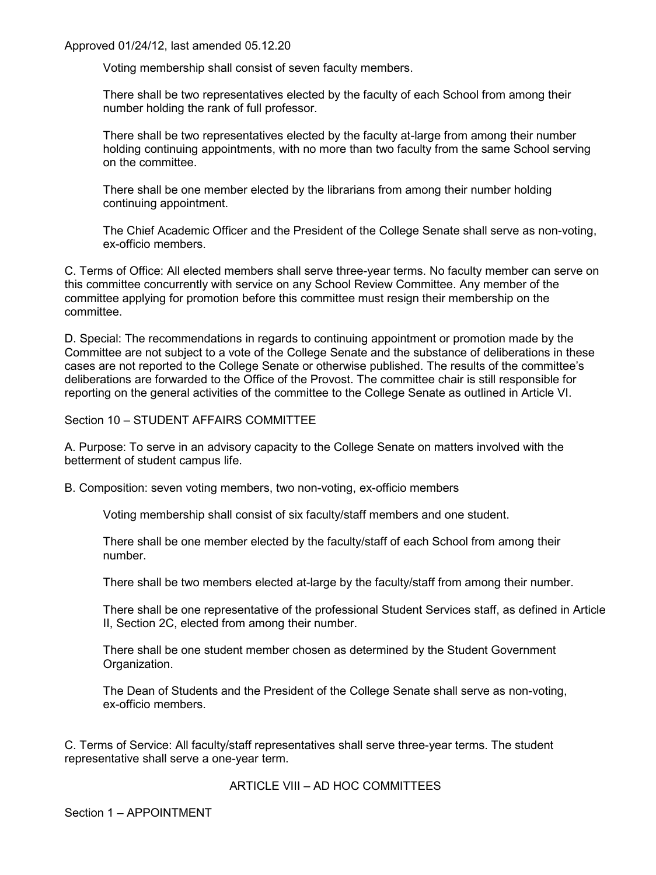Voting membership shall consist of seven faculty members.

There shall be two representatives elected by the faculty of each School from among their number holding the rank of full professor.

There shall be two representatives elected by the faculty at-large from among their number holding continuing appointments, with no more than two faculty from the same School serving on the committee.

There shall be one member elected by the librarians from among their number holding continuing appointment.

The Chief Academic Officer and the President of the College Senate shall serve as non-voting, ex-officio members.

C. Terms of Office: All elected members shall serve three-year terms. No faculty member can serve on this committee concurrently with service on any School Review Committee. Any member of the committee applying for promotion before this committee must resign their membership on the committee.

D. Special: The recommendations in regards to continuing appointment or promotion made by the Committee are not subject to a vote of the College Senate and the substance of deliberations in these cases are not reported to the College Senate or otherwise published. The results of the committee's deliberations are forwarded to the Office of the Provost. The committee chair is still responsible for reporting on the general activities of the committee to the College Senate as outlined in Article VI.

Section 10 – STUDENT AFFAIRS COMMITTEE

A. Purpose: To serve in an advisory capacity to the College Senate on matters involved with the betterment of student campus life.

B. Composition: seven voting members, two non-voting, ex-officio members

Voting membership shall consist of six faculty/staff members and one student.

There shall be one member elected by the faculty/staff of each School from among their number.

There shall be two members elected at-large by the faculty/staff from among their number.

There shall be one representative of the professional Student Services staff, as defined in Article II, Section 2C, elected from among their number.

There shall be one student member chosen as determined by the Student Government Organization.

The Dean of Students and the President of the College Senate shall serve as non-voting, ex-officio members.

C. Terms of Service: All faculty/staff representatives shall serve three-year terms. The student representative shall serve a one-year term.

ARTICLE VIII – AD HOC COMMITTEES

Section 1 – APPOINTMENT